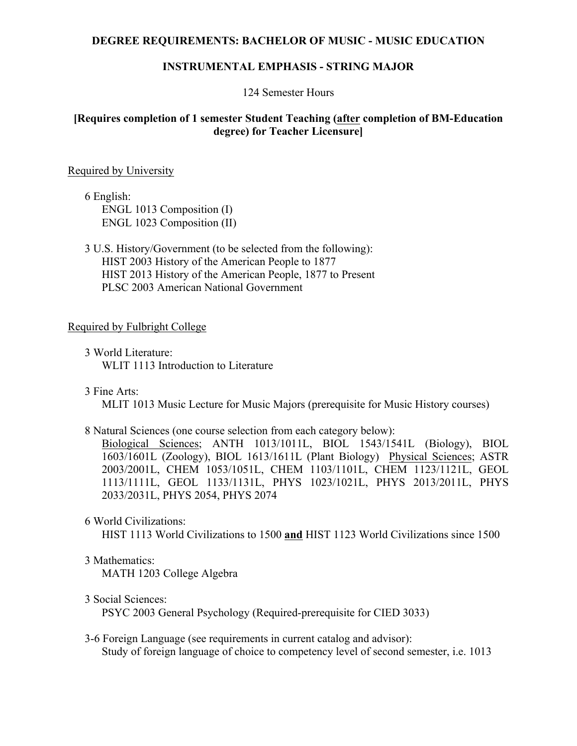#### **DEGREE REQUIREMENTS: BACHELOR OF MUSIC - MUSIC EDUCATION**

#### **INSTRUMENTAL EMPHASIS - STRING MAJOR**

124 Semester Hours

#### **[Requires completion of 1 semester Student Teaching (after completion of BM-Education degree) for Teacher Licensure]**

#### Required by University

6 English: ENGL 1013 Composition (I) ENGL 1023 Composition (II)

3 U.S. History/Government (to be selected from the following): HIST 2003 History of the American People to 1877 HIST 2013 History of the American People, 1877 to Present PLSC 2003 American National Government

#### Required by Fulbright College

- 3 World Literature: WLIT 1113 Introduction to Literature
- 3 Fine Arts:

MLIT 1013 Music Lecture for Music Majors (prerequisite for Music History courses)

8 Natural Sciences (one course selection from each category below):

Biological Sciences; ANTH 1013/1011L, BIOL 1543/1541L (Biology), BIOL 1603/1601L (Zoology), BIOL 1613/1611L (Plant Biology) Physical Sciences; ASTR 2003/2001L, CHEM 1053/1051L, CHEM 1103/1101L, CHEM 1123/1121L, GEOL 1113/1111L, GEOL 1133/1131L, PHYS 1023/1021L, PHYS 2013/2011L, PHYS 2033/2031L, PHYS 2054, PHYS 2074

6 World Civilizations:

HIST 1113 World Civilizations to 1500 **and** HIST 1123 World Civilizations since 1500

3 Mathematics:

MATH 1203 College Algebra

3 Social Sciences:

PSYC 2003 General Psychology (Required-prerequisite for CIED 3033)

3-6 Foreign Language (see requirements in current catalog and advisor): Study of foreign language of choice to competency level of second semester, i.e. 1013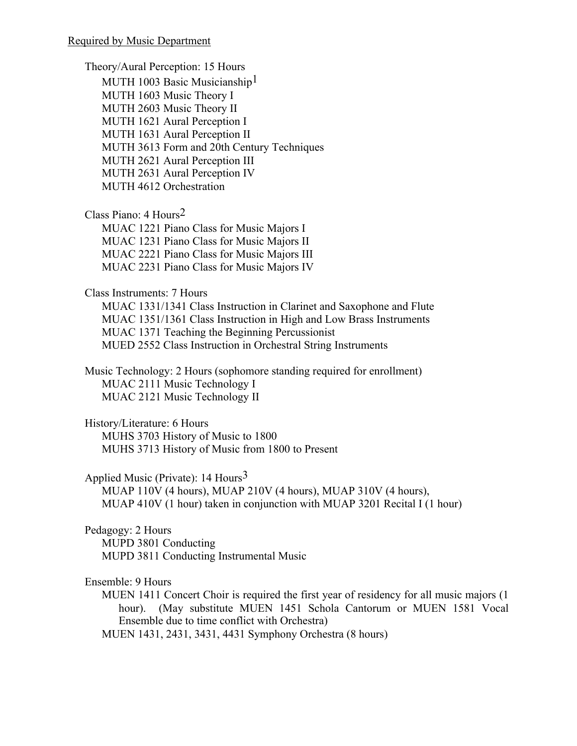Theory/Aural Perception: 15 Hours MUTH 1003 Basic Musicianship<sup>1</sup> MUTH 1603 Music Theory I MUTH 2603 Music Theory II MUTH 1621 Aural Perception I MUTH 1631 Aural Perception II MUTH 3613 Form and 20th Century Techniques MUTH 2621 Aural Perception III MUTH 2631 Aural Perception IV MUTH 4612 Orchestration Class Piano: 4 Hours2 MUAC 1221 Piano Class for Music Majors I MUAC 1231 Piano Class for Music Majors II MUAC 2221 Piano Class for Music Majors III MUAC 2231 Piano Class for Music Majors IV Class Instruments: 7 Hours MUAC 1331/1341 Class Instruction in Clarinet and Saxophone and Flute MUAC 1351/1361 Class Instruction in High and Low Brass Instruments MUAC 1371 Teaching the Beginning Percussionist MUED 2552 Class Instruction in Orchestral String Instruments Music Technology: 2 Hours (sophomore standing required for enrollment) MUAC 2111 Music Technology I MUAC 2121 Music Technology II History/Literature: 6 Hours MUHS 3703 History of Music to 1800 MUHS 3713 History of Music from 1800 to Present Applied Music (Private):  $14$  Hours<sup>3</sup> MUAP 110V (4 hours), MUAP 210V (4 hours), MUAP 310V (4 hours), MUAP 410V (1 hour) taken in conjunction with MUAP 3201 Recital I (1 hour)

Pedagogy: 2 Hours MUPD 3801 Conducting MUPD 3811 Conducting Instrumental Music

Ensemble: 9 Hours

MUEN 1411 Concert Choir is required the first year of residency for all music majors (1 hour). (May substitute MUEN 1451 Schola Cantorum or MUEN 1581 Vocal Ensemble due to time conflict with Orchestra)

MUEN 1431, 2431, 3431, 4431 Symphony Orchestra (8 hours)